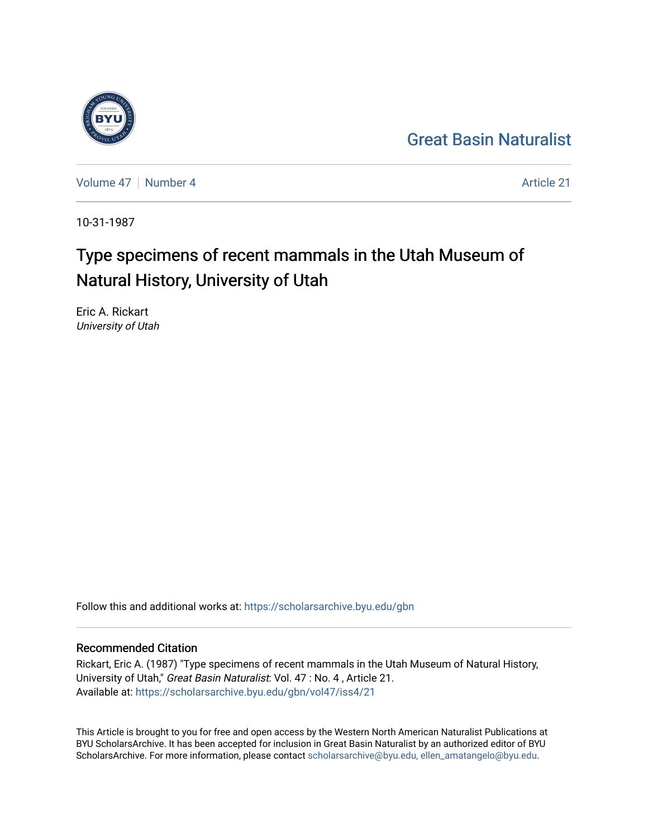



[Volume 47](https://scholarsarchive.byu.edu/gbn/vol47) | [Number 4](https://scholarsarchive.byu.edu/gbn/vol47/iss4) Article 21

10-31-1987

# Type specimens of recent mammals in the Utah Museum of Natural History, University of Utah

Eric A. Rickart University of Utah

Follow this and additional works at: [https://scholarsarchive.byu.edu/gbn](https://scholarsarchive.byu.edu/gbn?utm_source=scholarsarchive.byu.edu%2Fgbn%2Fvol47%2Fiss4%2F21&utm_medium=PDF&utm_campaign=PDFCoverPages) 

# Recommended Citation

Rickart, Eric A. (1987) "Type specimens of recent mammals in the Utah Museum of Natural History, University of Utah," Great Basin Naturalist: Vol. 47 : No. 4 , Article 21. Available at: [https://scholarsarchive.byu.edu/gbn/vol47/iss4/21](https://scholarsarchive.byu.edu/gbn/vol47/iss4/21?utm_source=scholarsarchive.byu.edu%2Fgbn%2Fvol47%2Fiss4%2F21&utm_medium=PDF&utm_campaign=PDFCoverPages) 

This Article is brought to you for free and open access by the Western North American Naturalist Publications at BYU ScholarsArchive. It has been accepted for inclusion in Great Basin Naturalist by an authorized editor of BYU ScholarsArchive. For more information, please contact [scholarsarchive@byu.edu, ellen\\_amatangelo@byu.edu.](mailto:scholarsarchive@byu.edu,%20ellen_amatangelo@byu.edu)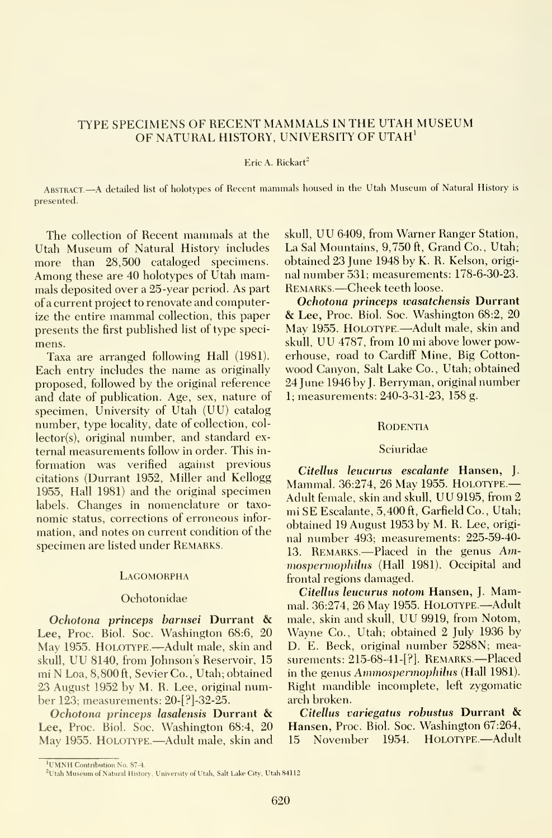# TYPE SPECIMENS OF RECENT MAMMALS IN THE UTAH MUSEUM OF NATURAL HISTORY, UNIVERSITY OF UTAH'

# Eric A. Rickart $^2$

ABSTRACT.-A detailed list of holotypes of Recent mammals housed in the Utah Museum of Natural History is presented.

The collection of Recent mammals at the Utah Museum of Natural History includes more than 28,500 cataloged specimens. Among these are 40 holotypes of Utah mammals deposited over a 25-year period. As part of a current project to renovate and computerize the entire mammal collection, this paper presents the first published list of type speci mens.

Taxa are arranged following Hall (1981). Each entry includes the name as originally proposed, followed by the original reference and date of publication. Age, sex, nature of specimen. University of Utah (UU) catalog number, type locality, date of collection, collector(s), original number, and standard external measurements follow in order. This in formation was verified against previous citations (Durrant 1952, Miller and Kellogg 1955, Hall 1981) and the original specimen labels. Changes in nomenclature or taxo nomic status, corrections of erroneous infor mation, and notes on current condition of the specimen are listed under REMARKS.

# **LAGOMORPHA**

#### Ochotonidae

Ochotona princeps barnsei Durrant & Lee, Proc. Biol. Soc. Washington 68:6, 20 May 1955. HOLOTYPE.---Adult male, skin and skull, UU 8140, from Johnson's Reservoir, <sup>15</sup> mi N Loa, 8,800 ft, Sevier Co., Utah; obtained 23 August 1952 by M. R. Lee, original number 123; measurements: 20-[?]-32-25.

Ochotona princeps lasalensis Durrant & Lee, Proc. Biol. Soc. Washington 68:4, 20 May 1955. HOLOTYPE.—Adult male, skin and 15

skull, UU 6409, from Warner Ranger Station, La Sal Mountains, 9,750 ft. Grand Co., Utah; obtained 23 June 1948 by K. R. Kelson, origi nal number 531; measurements: 178-6-30-23. Remarks —Cheek teeth loose.

Ochotona princeps wasatchensis Durrant & Lee, Proc. Biol. Soc. Washington 68:2, <sup>20</sup> May 1955. Holotype.—Adult male, skin and skull, UU 4787, from <sup>10</sup> mi above lower powerhouse, road to Cardiff Mine, Big Cotton wood Canyon, Salt Lake Co., Utah; obtained 24 June 1946 by J. Berryman, original number 1; measurements: 240-3-31-23, 158 g.

# **RODENTIA**

# Sciuridae

Citellus leucurus escalante Hansen, J. Mammal. 36:274, <sup>26</sup> May 1955. Holotype — Adult female, skin and skull, UU 9195, from <sup>2</sup> mi SE Escalante, 5,400 ft, Garfield Co., Utah; obtained 19 August 1953 by M. R. Lee, origi nal number 493; measurements: 225-59-40- 13. REMARKS.—Placed in the genus Ammospermophilus (Hall 1981). Occipital and frontal regions damaged.

Citellus leucurus notom Hansen, J. Mammal. 36:274, 26 May 1955. Holotype.—Adult male, skin and skull, UU 9919, from Notom, Wayne Co., Utah; obtained 2 July 1936 by D. E. Beck, original number 5288N; measurements: 215-68-41-[?]. Remarks.—Placed in the genus Ammospermophilus (Hall 1981). Right mandible incomplete, left zygomatic arch broken.

Citellus variegatus robustus Durrant & Hansen, Proc. Biol. Soc. Washington 67:264, <sup>15</sup> November 1954. Holotype.—Adult

<sup>&#</sup>x27;UMNH Contribution No. 87-4.

<sup>&</sup>lt;sup>2</sup>Utah Museum of Natural History, University of Utah, Salt Lake City, Utah 84112.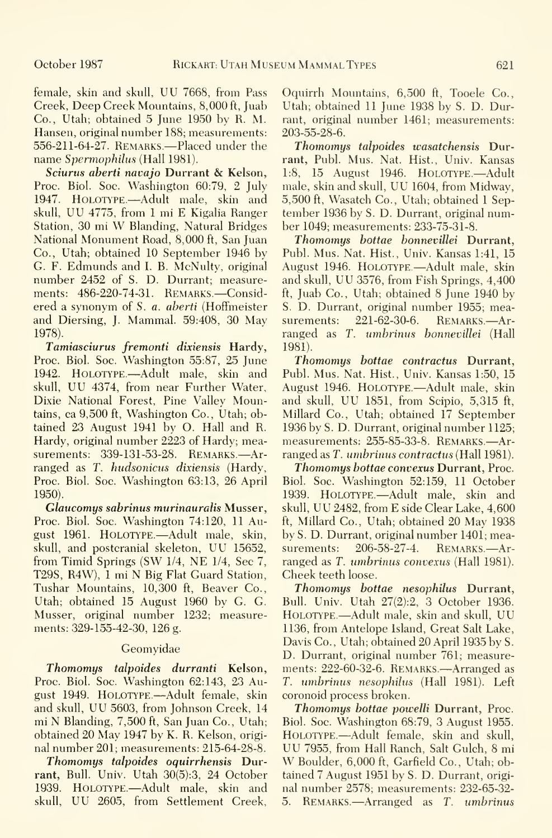female, skin and skull, UU 7668, from Pass Creek, Deep Creek Mountains, 8,000 ft, Juab Co., Utah; obtained 5 June 1950 by R. M. Hansen, original number 188; measurements: 556-211-64-27. Remarks—Placed under the name Spermophilus (Hall 1981).

Sciurus aberti navajo Durrant & Kelson, Proc. Biol. Soc. Washington 60:79, 2 July 1947. HOLOTYPE.—Adult male, skin and skull, UU 4775, from <sup>1</sup> mi E Kigalia Ranger Station, <sup>30</sup> mi W Blanding, Natural Bridges National Monument Road, 8,000 ft, San Juan Co., Utah; obtained 10 September 1946 by G. F. Edmunds and I. B. McNulty, original number 2452 of S. D. Durrant; measurements: 486-220-74-31. REMARKS.-Considered a synonym of S. a. aberti (Hoffmeister and Diersing, J. Mammal. 59:408, 30 May 1978).

Tamiasciurus fremonti dixiensis Hardy, Proc. Biol. Soc. Washington 55:87, 25 June 1942. HOLOTYPE.—Adult male, skin and skull, UU 4374, from near Further Water, Dixie National Forest, Pine Valley Mountains, ca 9,500 ft, Washington Co., Utah; obtained 23 August 1941 by O. Hall and R. Hardy, original number 2223 of Hardy; measurements: 339-131-53-28. REMARKS.--Arranged as T. hudsonicus dixiensis (Hardy, Proc. Biol. Soc. Washington 63:13, 26 April 1950).

Glaucomys sabrinus murinauralis Musser, Proc. Biol. Soc. Washington 74:120, 11 August 1961. HOLOTYPE.—Adult male, skin, byS.D.Du<br>skull, and postcranial skeleton. UU 15652. surements: skull, and postcranial skeleton, UU 15652, from Timid Springs (SW 1/4, NE 1/4, Sec 7, T29S, R4W), <sup>1</sup> mi N Big Flat Guard Station, Tushar Mountains, 10,300 ft, Beaver Co., Utah; obtained 15 August 1960 by G. G. Musser, original number 1232; measurements: 329-155-42-30, 126 g.

# Geomyidae

Thomomys talpoides durranti Kelson, Proc. Biol. Soc. Washington 62:143, 23 August 1949. HOLOTYPE. —Adult female, skin and skull, UU 5603, from Johnson Creek, <sup>14</sup> mi N Blanding, 7,500 ft, San Juan Co., Utah; obtained 20 May 1947 by K. R. Kelson, origi nal number 201; measurements: 215-64-28-8.

Thomomys talpoides oquirrhensis Durrant, Bull. Univ. Utah 30(5):3, 24 October 1939. HOLOTYPE.—Adult male, skin and skull, UU 2605, from Settlement Creek,

Oquirrh Mountains, 6,500 ft, Tooele Co., Utah; obtained 11 June 1938 by S. D. Durrant, original number 1461; measurements: 203-55-28-6.

Thomomys talpoides wasatchensis Durrant, Publ. Mus. Nat. Hist., Univ. Kansas 1:8, 15 August 1946. HOLOTYPE.-- Adult male, skin and skull, UU 1604, from Midway, 5,500 ft, Wasatch Co., Utah; obtained <sup>1</sup> September 1936 by S. D. Durrant, original number 1049; measurements: 233-75-31-8.

Thomomys bottae bonnevillei Durrant, Publ. Mus. Nat. Hist., Univ. Kansas 1:41, 15 August 1946. HOLOTYPE.-Adult male, skin and skull, UU 3576, from Fish Springs, 4,400 ft, Juab Co., Utah; obtained 8 June 1940 by S. D. Durrant, original number 1955; mea-221-62-30-6. REMARKS.-Arranged as T. umbrinus bonnevillei (Hall 1981).

Thomomys bottae contractus Durrant, Publ. Mus. Nat. Hist., Univ. Kansas 1:50, 15 August 1946. Holotype.—Adult male, skin and skull, UU 1851, from Scipio, 5,315 ft, Millard Co., Utah; obtained 17 September 1936 by S. D. Durrant, original number 1125; measurements: 255-85-33-8. Remarks.—Ar ranged as T. umbrinus contractus (Hall 1981).

Thomomys bottae convexus Durrant, Proc. Biol. Soc. Washington 52:159, 11 October 1939. Holotype.—Adult male, skin and skull, UU 2482, from E side Clear Lake, 4,600 ft, Millard Co., Utah; obtained 20 May 1938 by S. D. Durrant, original number 1401; mea-206-58-27-4. REMARKS.-Arranged as T. umbrinus convexus (Hall 1981). Cheek teeth loose.

Thomomys bottae nesophilus Durrant, Bull. Univ. Utah 27(2):2, 3 October 1936. Holotype.—Adult male, skin and skull, UU 1136, from Antelope Island, Great Salt Lake, Davis Co. , Utah; obtained 20 April 1935 by S. D. Durrant, original number 761; measurements: 222-60-32-6. REMARKS.—Arranged as T. umbrinus nesophilus (Hall 1981). Left coronoid process broken.

Thomomys bottae powelli Durrant, Proc. Biol. Soc. Washington 68:79, 3 August 1955. UU 7955, from Hall Ranch, Salt Gulch, 8 mi W Boulder, 6,000 ft, Garfield Co., Utah; obtained 7 August 1951 by S. D. Durrant, origi nal number 2578; measurements: 232-65-32- 5. REMARKS.—Arranged as T. umbrinus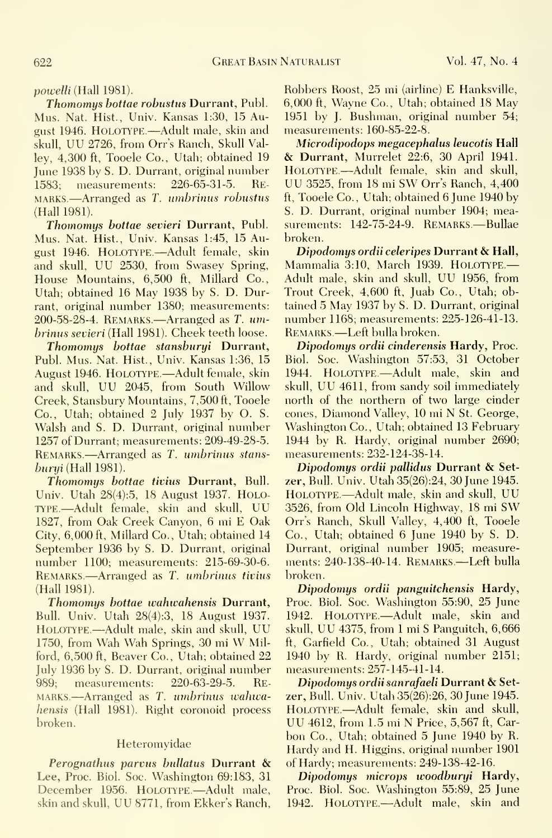powelli (Hall 1981).

Thomomys bottae robustus Durrant, Publ. Mus. Nat. Hist., Univ. Kansas 1:30, 15 August 1946. HOLOTYPE.—Adult male, skin and skull, UU 2726, from Orr's Ranch, Skull Valley, 4,300 ft, Tooele Co., Utah; obtained 19 June 1938 by S. D. Durrant, original number HOLOTYPE.—Adult female, skin and skull, 1583: measurements: 226-65-31-5. RE- UU 3525, from 18 mi SW Orr's Ranch, 4,400 1583; measurements: 226-65-31-5. RE- $MARKS$ . Arranged as T. umbrinus robustus (Hall 1981).

Thomomys bottae sevieri Durrant, Publ. Mus. Nat. Hist., Univ. Kansas 1:45, 15 August 1946. HOLOTYPE.—Adult female, skin and skull, UU 2530, from Swasey Spring, House Mountains, 6,500 ft, Millard Co., Utah; obtained 16 May 1938 by S. D. Durrant, original number 1380; measurements:  $200-58-28-4$ . REMARKS.—Arranged as T.  $um$ brinus sevieri (Hall 1981). Cheek teeth loose.

Thomomys bottae stansburyi Durrant, Publ. Mus. Nat. Hist., Univ. Kansas 1:36, 15 August 1946. HoLOTYPE.—Adult female, skin and skull, UU 2045, from South Willow Creek, Stansburv Mountains, 7,500 ft, Tooele Co., Utah; obtained 2 July 1937 by O. S. Walsh and S. D. Durrant, original number 1257 of Durrant; measurements: 209-49-28-5. REMARKS.—Arranged as T. umbrinus stans $buriii$  (Hall 1981).

Thomomys bottae tivius Durrant, Bull. Univ. Utah 28(4):5, 18 August 1937. HOLO-TYPE. —Adult female, skin and skull, UU 1827, from Oak Creek Canyon, 6 mi E Oak City, 6,000 ft, Millard Co., Utah; obtained 14 September 1936 by S. D. Durrant, original number 1100; measurements: 215-69-30-6. Remarks.—Arranged as T. umbrinus tivius (Hall 1981).

Thomomys bottae wahwahensis Durrant, Bull. Univ. Utah 28(4):3, 18 August 1937. HoLOTYPE.—Adult male, skin and skull, UU 1750, from Wah Wah Springs, <sup>30</sup> mi W Milford, 6,500 ft, Beaver Co., Utah; obtained 22 July 1936 by S. D. Durrant, original number 989; measurements: 220-63-29-5. Remarks.—Arranged as T. umbrinus wahwahensis (Hall 1981). Right coronoid process broken.

# Heteromyidae

Perognathus parvus bullatus Durrant & Lee, Proc. Biol. Soc. Washington 69:183, 31 December 1956. HOLOTYPE.—Adult male, skin and skull, UU 8771, from Ekker's Ranch,

Robbers Roost, 25 mi (airline) E Hanksville, 6,000 ft, Wayne Co., Utah; obtained 18 May 1951 by J. Bushman, original number 54; measurements: 160-85-22-8.

Microdipodops megacephalus leucotis Hall & Durrant, Murrelet 22:6, <sup>30</sup> April 1941. HOLOTYPE.—Adult female, skin and skull, ft, Tooele Co., Utah; obtained 6 June 1940 by S. D. Durrant, original number 1904; measurements: 142-75-24-9. REMARKS.-Bullae broken.

Dipodomys ordii celeripes Durrant & Hall, Mammalia 3:10, March 1939. Holotype.— Adult male, skin and skull, UU 1956, from Trout Creek, 4,600 ft, Juab Co., Utah; obtained 5 May 1937 by S. D. Durrant, original number 1168; measurements: 225-126-41-13. Remarks —Left bulla broken.

Dipodomys ordii cinderensis Hardy, Proc. Biol. Soc. Washington 57:53, 31 October 1944. Holotype.—Adult male, skin and skull, UU 4611, from sandy soil immediately north of the northern of two large cinder cones, Diamond Valley, <sup>10</sup> mi N St. George, Washington Co., Utah; obtained 13 February 1944 by R. Hardy, original number 2690; measurements: 232-124-38-14.

Dipodomys ordii pallidas Durrant & Setzer. Bull. Univ. Utah35(26):24, 30 June 1945. Holotype.—Adult male, skin and skull, UU 3526, from Old Lincoln Highwav, <sup>18</sup> mi SW Orr's Ranch, Skull Valley, 4,400 ft, Tooele Co., Utah; obtained 6 June 1940 by S. D. Durrant, original number 1905; measurements: 240-138-40-14. Remarks.—Left bulla broken.

Dipodomys ordii panguitchensis Hardy, Proc. Biol. Soc. Washington 55:90, 25 June 1942. Holotype,—Adult male, skin and skull, UU 4375, from <sup>1</sup>mi <sup>S</sup> Panguitch, 6,666 ft, Garfield Co., Utah; obtained 31 August 1940 by R. Hardy, original number 2151; measurements: 257-145-41-14.

Dipodomys ordii sanrafaeli Durrant & Setzer. Bull. Univ. Utah35(26):26, 30 June 1945. Holotype.—Adult female, skin and skull, UU 4612, from 1.5 mi <sup>N</sup> Price, 5,567 ft. Car bon Co., Utah; obtained 5 June 1940 by R. Hardy and H. Higgins, original number 1901 of Hardy; measurements: 249-138-42-16.

Dipodomys microps woodburyi Hardy, Proc. Biol. Soc. Washington 55:89, 25 June 1942. Holotype.—Adult male, skin and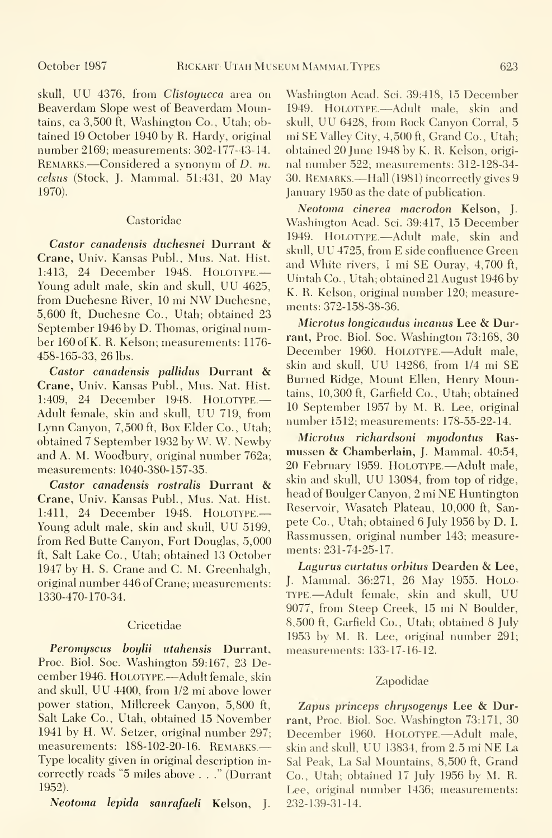skull, UU 4376, from Clistoyucca area on Beaverdam Slope west of Beaverdam Mountains, ca 3,500 ft, Washington Co., Utah; obtained 19 October 1940 by R. Hardy, original number 2169; measurements: 302-177-43-14. REMARKS.—Considered a synonym of D. m. celsiis (Stock, J. Mammal. 51:431, 20 May 1970).

## Castoridae

Castor canadensis duchesnei Durrant & Crane, Univ. Kansas Publ., Mus. Nat. Hist. 1:413, <sup>24</sup> December 1948. Holotype.— Young adult male, skin and skull, UU 4625, from Duchesne River, <sup>10</sup> mi NW Duchesne, 5,600 ft, Duchesne Co., Utah; obtained 23 September 1946 by D. Thomas, original number 160 of K. R. Kelson; measurements: 1176- 458-165-33, 26 lbs.

Castor canadensis pallidus Durrant & Crane, Univ. Kansas Publ., Mus. Nat. Hist. 1:409, 24 December 1948. HOLOTYPE.-Adult female, skin and skull, UU 719, from Lynn Canyon, 7,500 ft. Box Elder Co., Utah; obtained 7 September 1932 by W. W. Newby and A. M. Woodbury, original number 762a; measurements: 1040-380-157-35.

Castor canadensis rostralis Durrant & Crane, Univ. Kansas Publ., Mus. Nat. Hist. 1:411, 24 December 1948. HOLOTYPE.-Young adult male, skin and skull, UU 5199, from Red Butte Canyon, Fort Douglas, 5,000 ft, Salt Lake Co., Utah; obtained 13 October 1947 by H. S. Crane and C. M. Greenhalgh, original number 446 of Crane; measurements: 1330-470-170-34.

### Cricetidae

Peromyscus boylii utahensis Durrant, Proc. Biol. Soc. Washington 59:167, 23 December 1946. Holotype.—Adult female, skin and skull, UU 4400, from 1/2 mi above lower power station, Millcreek Canyon, 5,800 ft, Salt Lake Co., Utah, obtained 15 November 1941 by H. W. Setzer, original number 297; measurements: 188-102-20-16. Remarks.— Type locality given in original description in correctly reads "5 miles above ..." (Durrant 1952).

Neotoma lepida sanrafaeli Kelson, J.

Washington Acad. Sci. 39:418, 15 December 1949. Holotype.—Adult male, skin and skull, UU 6428, from Rock Canyon Corral, <sup>5</sup> mi SE Valley City, 4,500 ft. Grand Co., Utah; obtained 20 June 1948 by K. R. Kelson, origi nal number 522; measurements: 312-128-34- 30. Remarks.—Hall (1981) incorrectly gives <sup>9</sup> January 1950 as the date of publication.

Neotoma cinerea macrodon Kelson, J. Washington Acad. Sci. 39:417, 15 December 1949. Holotype.—Adult male, skin and skull, UU 4725, from E side confluence Green and White rivers, <sup>1</sup> mi SE Ouray, 4,700 ft, Uintah Co. , Utah; obtained 21 August 1946 by K. R. Kelson, original number 120; measurements: 372-158-38-36.

Microtus longicaudus incanus Lee & Durrant, Proc. Biol. Soc. Washington 73:168, 30 December 1960. Holotype.—Adult male, skin and skull, UU 14286, from 1/4 mi SE Burned Ridge, Mount Ellen, Henry Mountains, 10,300 ft, Garfield Co., Utah; obtained 10 September 1957 by M. R. Lee, original number 1512; measurements: 178-55-22-14.

Microtus richardsoni myodontus Ras mussen & Chamberlain, J. Mammal. 40:54, <sup>20</sup> February 1959. Holotype.—Adult male, skin and skull, UU 13084, from top of ridge, head of Boulger Canyon, <sup>2</sup> mi NE Huntington Reservoir, Wasatch Plateau, 10,000 ft, San pete Co., Utah; obtained 6 July 1956 by D. I. Rassmussen, original number 143; measurements: 231-74-25-17.

Lagurus curtatus orbitus Dearden & Lee, J. Mammal. 36:271, 26 May 1955. Holo-TYPE.-Adult female, skin and skull, UU 9077, from Steep Creek, <sup>15</sup> mi N Boulder, 8,500 ft, Garfield Co., Utah; obtained 8 July 1953 by M. R. Lee, original number 291; measurements: 133-17-16-12.

### Zapodidae

Zapus princeps chrysogenys Lee & Durrant, Proc. Biol. Soc. Washington 73:171, 30 December 1960. HOLOTYPE.—Adult male, skin and skull, UU 13834, from 2.5 mi NE La Sal Peak, La Sal Mountains, 8,500 ft, Grand Co., Utah; obtained 17 July 1956 by M. R. Lee, original number 1436; measurements: 232-139-31-14.